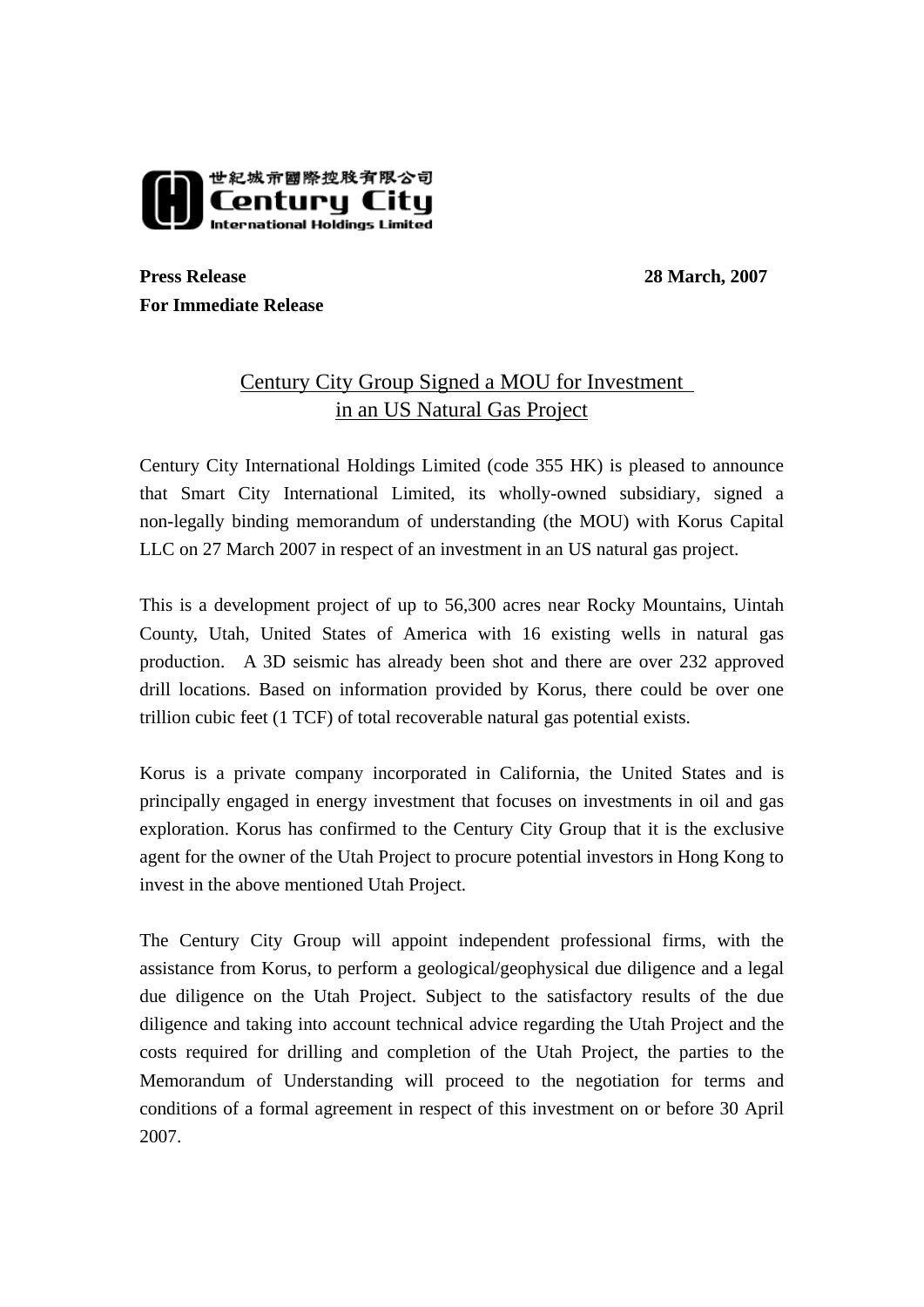

**Press Release** 28 March, 2007 **For Immediate Release** 

## Century City Group Signed a MOU for Investment in an US Natural Gas Project

Century City International Holdings Limited (code 355 HK) is pleased to announce that Smart City International Limited, its wholly-owned subsidiary, signed a non-legally binding memorandum of understanding (the MOU) with Korus Capital LLC on 27 March 2007 in respect of an investment in an US natural gas project.

This is a development project of up to 56,300 acres near Rocky Mountains, Uintah County, Utah, United States of America with 16 existing wells in natural gas production. A 3D seismic has already been shot and there are over 232 approved drill locations. Based on information provided by Korus, there could be over one trillion cubic feet (1 TCF) of total recoverable natural gas potential exists.

Korus is a private company incorporated in California, the United States and is principally engaged in energy investment that focuses on investments in oil and gas exploration. Korus has confirmed to the Century City Group that it is the exclusive agent for the owner of the Utah Project to procure potential investors in Hong Kong to invest in the above mentioned Utah Project.

The Century City Group will appoint independent professional firms, with the assistance from Korus, to perform a geological/geophysical due diligence and a legal due diligence on the Utah Project. Subject to the satisfactory results of the due diligence and taking into account technical advice regarding the Utah Project and the costs required for drilling and completion of the Utah Project, the parties to the Memorandum of Understanding will proceed to the negotiation for terms and conditions of a formal agreement in respect of this investment on or before 30 April 2007.